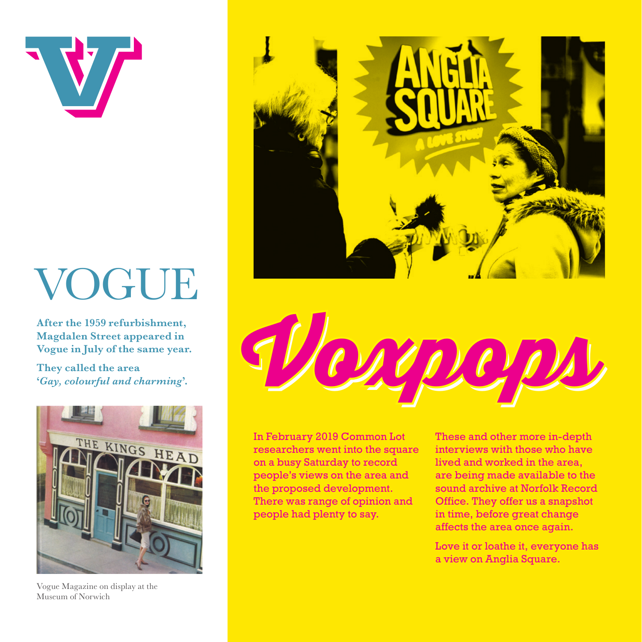

## VOGUE

**After the 1959 refurbishment, Magdalen Street appeared in Vogue in July of the same year.** 

**They called the area '***Gay, colourful and charming***'.**



Vogue Magazine on display at the Museum of Norwich





In February 2019 Common Lot researchers went into the square on a busy Saturday to record people's views on the area and the proposed development. There was range of opinion and people had plenty to say.

These and other more in-depth interviews with those who have lived and worked in the area, are being made available to the sound archive at Norfolk Record Office. They offer us a snapshot in time, before great change affects the area once again.

Love it or loathe it, everyone has a view on Anglia Square.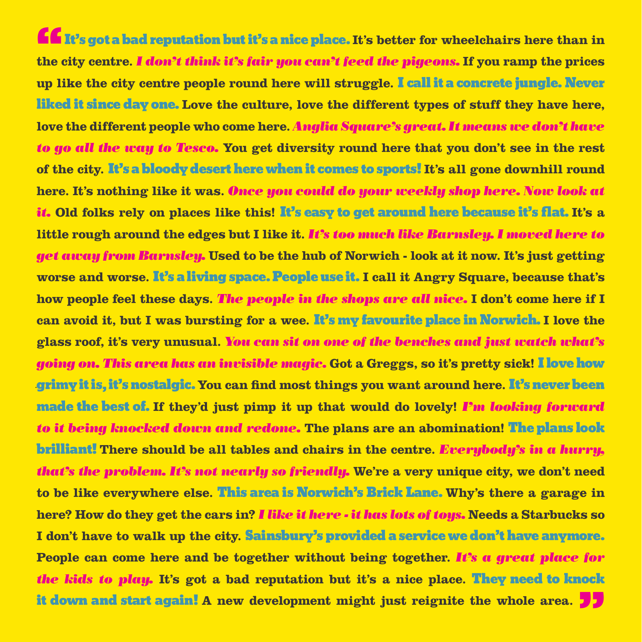**ff** It's got a bad reputation but it's a nice place. It's better for wheelchairs here than in **the city centre.** *I don't think it's fair you can't feed the pigeons.* **If you ramp the prices up like the city centre people round here will struggle.** I call it a concrete jungle. Never liked it since day one. **Love the culture, love the different types of stuff they have here, love the different people who come here.** *Anglia Square's great. It means we don't have to go all the way to Tesco.* **You get diversity round here that you don't see in the rest of the city.** It's a bloody desert here when it comes to sports! **It's all gone downhill round here. It's nothing like it was.** *Once you could do your weekly shop here. Now look at it.* **Old folks rely on places like this!** It's easy to get around here because it's flat. **It's a little rough around the edges but I like it.** *It's too much like Barnsley. I moved here to get away from Barnsley.* **Used to be the hub of Norwich - look at it now. It's just getting worse and worse.** It's a living space. People use it. **I call it Angry Square, because that's how people feel these days.** *The people in the shops are all nice.* **I don't come here if I can avoid it, but I was bursting for a wee.** It's my favourite place in Norwich. **I love the glass roof, it's very unusual.** *You can sit on one of the benches and just watch what's going on. This area has an invisible magic.* **Got a Greggs, so it's pretty sick!** I love how grimy it is, it's nostalgic. **You can find most things you want around here.** It's never been .made the best of. **If they'd just pimp it up that would do lovely!** *I'm looking forward to it being knocked down and redone.* **The plans are an abomination!** The plans look brilliant! **There should be all tables and chairs in the centre.** *Everybody's in a hurry, that's the problem. It's not nearly so friendly.* **We're a very unique city, we don't need to be like everywhere else.** This area is Norwich's Brick Lane. **Why's there a garage in here? How do they get the cars in?** *I like it here - it has lots of toys.* **Needs a Starbucks so I don't have to walk up the city.** Sainsbury's provided a service we don't have anymore. **People can come here and be together without being together.** *It's a great place for the kids to play.* **It's got a bad reputation but it's a nice place.** They need to knock it down and start again! **A new development might just reignite the whole area.** "